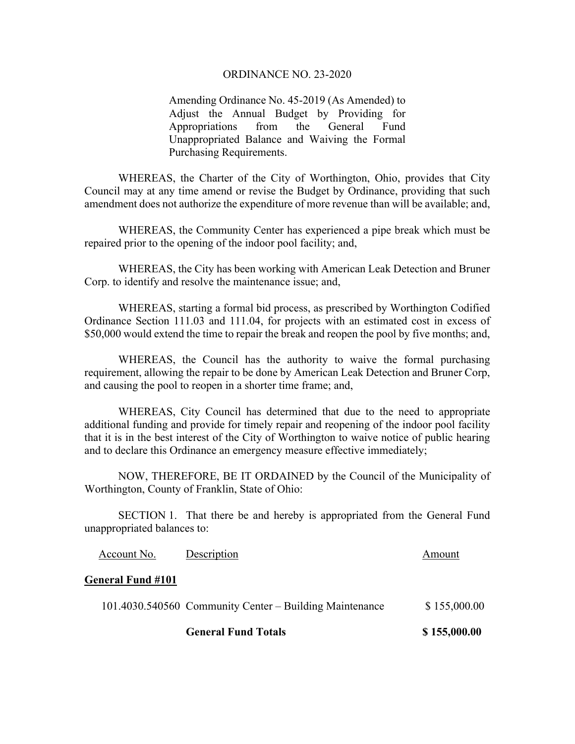## ORDINANCE NO. 23-2020

Amending Ordinance No. 45-2019 (As Amended) to Adjust the Annual Budget by Providing for Appropriations from the General Fund Unappropriated Balance and Waiving the Formal Purchasing Requirements.

 WHEREAS, the Charter of the City of Worthington, Ohio, provides that City Council may at any time amend or revise the Budget by Ordinance, providing that such amendment does not authorize the expenditure of more revenue than will be available; and,

 WHEREAS, the Community Center has experienced a pipe break which must be repaired prior to the opening of the indoor pool facility; and,

 WHEREAS, the City has been working with American Leak Detection and Bruner Corp. to identify and resolve the maintenance issue; and,

 WHEREAS, starting a formal bid process, as prescribed by Worthington Codified Ordinance Section 111.03 and 111.04, for projects with an estimated cost in excess of \$50,000 would extend the time to repair the break and reopen the pool by five months; and,

 WHEREAS, the Council has the authority to waive the formal purchasing requirement, allowing the repair to be done by American Leak Detection and Bruner Corp, and causing the pool to reopen in a shorter time frame; and,

WHEREAS, City Council has determined that due to the need to appropriate additional funding and provide for timely repair and reopening of the indoor pool facility that it is in the best interest of the City of Worthington to waive notice of public hearing and to declare this Ordinance an emergency measure effective immediately;

 NOW, THEREFORE, BE IT ORDAINED by the Council of the Municipality of Worthington, County of Franklin, State of Ohio:

 SECTION 1. That there be and hereby is appropriated from the General Fund unappropriated balances to:

|                          | <b>General Fund Totals</b>                              | \$155,000.00 |
|--------------------------|---------------------------------------------------------|--------------|
|                          | 101.4030.540560 Community Center – Building Maintenance | \$155,000.00 |
| <b>General Fund #101</b> |                                                         |              |
| Account No.              | Description                                             | Amount       |